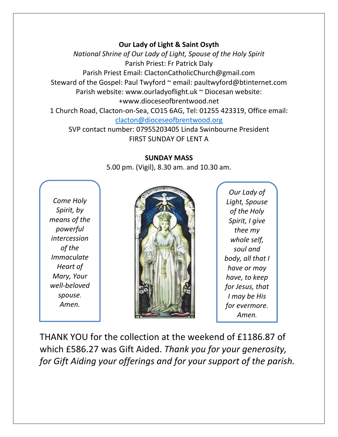## **Our Lady of Light & Saint Osyth**

*National Shrine of Our Lady of Light, Spouse of the Holy Spirit* Parish Priest: Fr Patrick Daly Parish Priest Email: ClactonCatholicChurch@gmail.com Steward of the Gospel: Paul Twyford ~ email: paultwyford@btinternet.com Parish website: www.ourladyoflight.uk ~ Diocesan website: +www.dioceseofbrentwood.net 1 Church Road, Clacton-on-Sea, CO15 6AG, Tel: 01255 423319, Office email: [clacton@dioceseofbrentwood.org](mailto:clacton@dioceseofbrentwood.org)

SVP contact number: 07955203405 Linda Swinbourne President FIRST SUNDAY OF LENT A

## **SUNDAY MASS**

5.00 pm. (Vigil), 8.30 am. and 10.30 am.

*Come Holy Spirit, by means of the powerful intercession of the Immaculate Heart of Mary, Your well-beloved spouse. Amen.*



*Our Lady of Light, Spouse of the Holy Spirit, I give thee my whole self, soul and body, all that I have or may have, to keep for Jesus, that I may be His for evermore. Amen.*

THANK YOU for the collection at the weekend of £1186.87 of which £586.27 was Gift Aided. *Thank you for your generosity, for Gift Aiding your offerings and for your support of the parish.*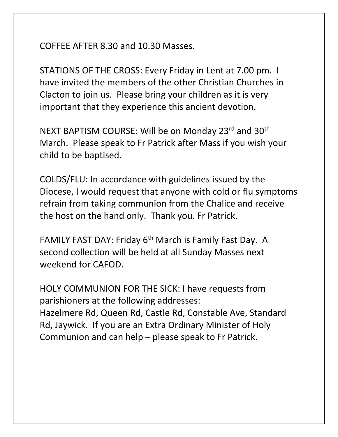COFFEE AFTER 8.30 and 10.30 Masses.

STATIONS OF THE CROSS: Every Friday in Lent at 7.00 pm. I have invited the members of the other Christian Churches in Clacton to join us. Please bring your children as it is very important that they experience this ancient devotion.

NEXT BAPTISM COURSE: Will be on Monday 23rd and 30<sup>th</sup> March. Please speak to Fr Patrick after Mass if you wish your child to be baptised.

COLDS/FLU: In accordance with guidelines issued by the Diocese, I would request that anyone with cold or flu symptoms refrain from taking communion from the Chalice and receive the host on the hand only. Thank you. Fr Patrick.

FAMILY FAST DAY: Friday 6<sup>th</sup> March is Family Fast Day. A second collection will be held at all Sunday Masses next weekend for CAFOD.

HOLY COMMUNION FOR THE SICK: I have requests from parishioners at the following addresses: Hazelmere Rd, Queen Rd, Castle Rd, Constable Ave, Standard Rd, Jaywick. If you are an Extra Ordinary Minister of Holy Communion and can help – please speak to Fr Patrick.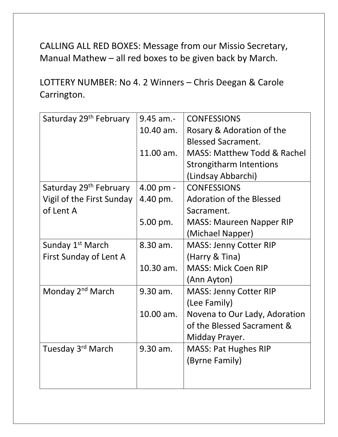CALLING ALL RED BOXES: Message from our Missio Secretary, Manual Mathew – all red boxes to be given back by March.

LOTTERY NUMBER: No 4. 2 Winners – Chris Deegan & Carole Carrington.

| Saturday 29 <sup>th</sup> February | $9.45$ am.-         | <b>CONFESSIONS</b>                     |
|------------------------------------|---------------------|----------------------------------------|
|                                    | 10.40 am.           | Rosary & Adoration of the              |
|                                    |                     | <b>Blessed Sacrament.</b>              |
|                                    | 11.00 am.           | <b>MASS: Matthew Todd &amp; Rachel</b> |
|                                    |                     | <b>Strongitharm Intentions</b>         |
|                                    |                     | (Lindsay Abbarchi)                     |
| Saturday 29 <sup>th</sup> February | $4.00 \text{ pm} -$ | <b>CONFESSIONS</b>                     |
| Vigil of the First Sunday          | 4.40 pm.            | <b>Adoration of the Blessed</b>        |
| of Lent A                          |                     | Sacrament.                             |
|                                    | 5.00 pm.            | <b>MASS: Maureen Napper RIP</b>        |
|                                    |                     | (Michael Napper)                       |
| Sunday 1 <sup>st</sup> March       | 8.30 am.            | <b>MASS: Jenny Cotter RIP</b>          |
| First Sunday of Lent A             |                     | (Harry & Tina)                         |
|                                    | 10.30 am.           | <b>MASS: Mick Coen RIP</b>             |
|                                    |                     | (Ann Ayton)                            |
| Monday 2 <sup>nd</sup> March       | 9.30 am.            | <b>MASS: Jenny Cotter RIP</b>          |
|                                    |                     | (Lee Family)                           |
|                                    | 10.00 am.           | Novena to Our Lady, Adoration          |
|                                    |                     | of the Blessed Sacrament &             |
|                                    |                     | Midday Prayer.                         |
| Tuesday 3rd March                  | 9.30 am.            | <b>MASS: Pat Hughes RIP</b>            |
|                                    |                     | (Byrne Family)                         |
|                                    |                     |                                        |
|                                    |                     |                                        |